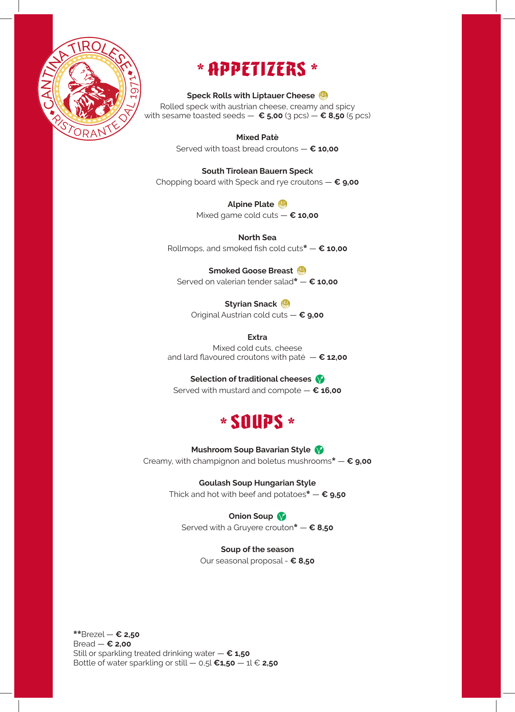

# **\* APPETIZERS \***

## **Speck Rolls with Liptauer Cheese**

Rolled speck with austrian cheese, creamy and spicy with sesame toasted seeds  $-$  **€ 5,00** (3 pcs)  $-$  **€ 8,50** (5 pcs)

> **Mixed Patè** Served with toast bread croutons — **€ 10,00**

**South Tirolean Bauern Speck** Chopping board with Speck and rye croutons — **€ 9,00**

**Alpine Plate** 

Mixed game cold cuts — **€ 10,00**

**North Sea** Rollmops, and smoked fish cold cuts\* — **€ 10,00**

**Smoked Goose Breast**  Served on valerian tender salad\* — **€ 10,00**

**Styrian Snack** 

Original Austrian cold cuts — **€ 9,00**

**Extra**

Mixed cold cuts, cheese and lard flavoured croutons with paté — **€ 12,00**

## **Selection of traditional cheeses**

Served with mustard and compote — **€ 16,00**



**Mushroom Soup Bavarian Style** 

Creamy, with champignon and boletus mushrooms\* — **€ 9,00**

**Goulash Soup Hungarian Style**

Thick and hot with beef and potatoes\* — **€ 9,50**

**Onion Soup** 

Served with a Gruyere crouton\* — **€ 8,50**

**Soup of the season**

Our seasonal proposal - **€ 8,50**

\*\*Brezel — **€ 2,50** Bread — **€ 2,00** Still or sparkling treated drinking water — **€ 1,50** Bottle of water sparkling or still  $-$  0,5l  $\epsilon$ **1,50**  $-$  1l  $\epsilon$  **2,50**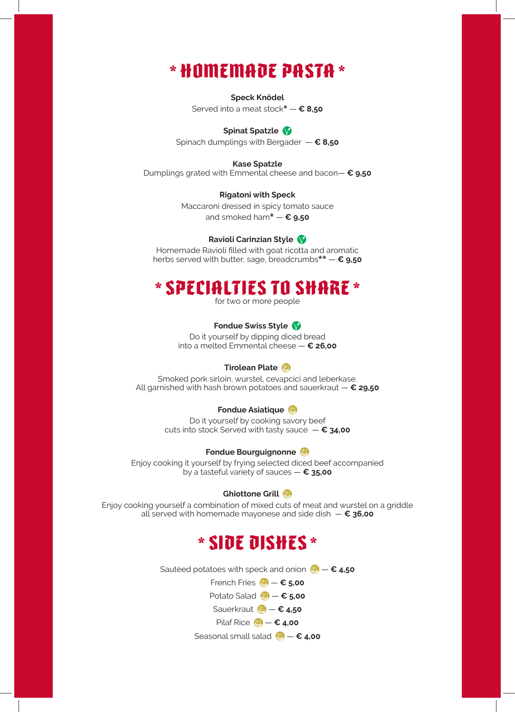## **\* HOMEMADE PASTA \***

**Speck Knödel** Served into a meat stock\* — **€ 8,50**

## **Spinat Spatzle**

Spinach dumplings with Bergader — **€ 8,50**

#### **Kase Spatzle**

Dumplings grated with Emmental cheese and bacon— **€ 9,50**

#### **Rigatoni with Speck**

Maccaroni dressed in spicy tomato sauce and smoked ham\* — **€ 9,50**

#### **Ravioli Carinzian Style**

Homemade Ravioli filled with goat ricotta and aromatic herbs served with butter, sage, breadcrumbs\*\* — **€ 9,50**

## **\* SPECIALTIES TO SHARE \***

for two or more people

## **Fondue Swiss Style**

Do it yourself by dipping diced bread into a melted Emmental cheese — **€ 26,00**

## **Tirolean Plate**

Smoked pork sirloin, wurstel, cevapcici and leberkase. All garnished with hash brown potatoes and sauerkraut — **€ 29,50**

#### **Fondue Asiatique**

Do it yourself by cooking savory beef cuts into stock Served with tasty sauce — **€ 34,00**

#### **Fondue Bourguignonne**

Enjoy cooking it yourself by frying selected diced beef accompanied by a tasteful variety of sauces — **€ 35,00**

#### **Ghiottone Grill**

Enjoy cooking yourself a combination of mixed cuts of meat and wurstel on a griddle all served with homemade mayonese and side dish — **€ 36,00**

## **\* SIDE DISHES \***

Sautèed potatoes with speck and onion (**4)** − € 4,50 French Fries (**4** − € 5,00 Potato Salad **<sub>→</sub>**  $\epsilon$  **5,00</sub>** Sauerkraut **(4) – € 4,50** 

Pilaf Rice  $\mathbf{W} - \epsilon$  4,00

Seasonal small salad <sup>(|||</sup>) − € 4,00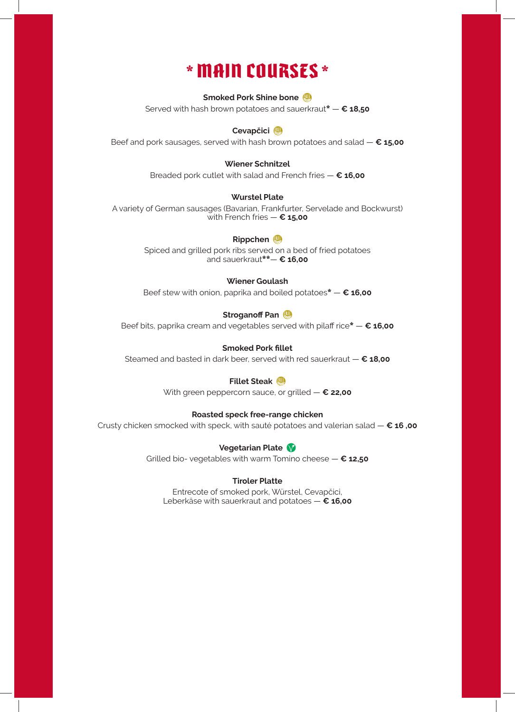# **\* MAIN COURSES \***

#### **Smoked Pork Shine bone**

Served with hash brown potatoes and sauerkraut\* — **€ 18,50**

## **Cevapčici**

Beef and pork sausages, served with hash brown potatoes and salad — **€ 15,00**

#### **Wiener Schnitzel**

Breaded pork cutlet with salad and French fries — **€ 16,00**

#### **Wurstel Plate**

A variety of German sausages (Bavarian, Frankfurter, Servelade and Bockwurst) with French fries — **€ 15,00**

#### **Rippchen**

Spiced and grilled pork ribs served on a bed of fried potatoes and sauerkraut\*\*— **€ 16,00**

## **Wiener Goulash**

Beef stew with onion, paprika and boiled potatoes\* — **€ 16,00**

## **Stroganoff Pan**

Beef bits, paprika cream and vegetables served with pilaff rice\* — **€ 16,00**

### **Smoked Pork fillet**

Steamed and basted in dark beer, served with red sauerkraut — **€ 18,00**

## **Fillet Steak**

With green peppercorn sauce, or grilled — **€ 22,00**

## **Roasted speck free-range chicken**

Crusty chicken smocked with speck, with sauté potatoes and valerian salad — **€ 16 ,00**

**Vegetarian Plate** 

Grilled bio- vegetables with warm Tomino cheese — **€ 12,50**

#### **Tiroler Platte**

Entrecote of smoked pork, Würstel, Cevapčici, Leberkäse with sauerkraut and potatoes — **€ 16,00**